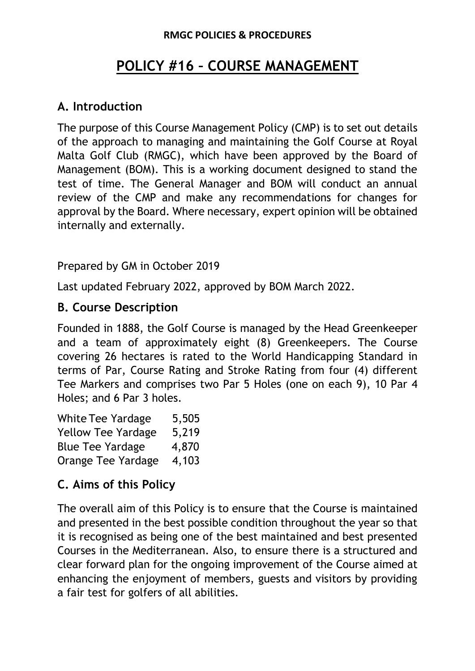#### **RMGC POLICIES & PROCEDURES**

# **POLICY #16 – COURSE MANAGEMENT**

#### **A. Introduction**

The purpose of this Course Management Policy (CMP) is to set out details of the approach to managing and maintaining the Golf Course at Royal Malta Golf Club (RMGC), which have been approved by the Board of Management (BOM). This is a working document designed to stand the test of time. The General Manager and BOM will conduct an annual review of the CMP and make any recommendations for changes for approval by the Board. Where necessary, expert opinion will be obtained internally and externally.

Prepared by GM in October 2019

Last updated February 2022, approved by BOM March 2022.

### **B. Course Description**

Founded in 1888, the Golf Course is managed by the Head Greenkeeper and a team of approximately eight (8) Greenkeepers. The Course covering 26 hectares is rated to the World Handicapping Standard in terms of Par, Course Rating and Stroke Rating from four (4) different Tee Markers and comprises two Par 5 Holes (one on each 9), 10 Par 4 Holes; and 6 Par 3 holes.

| <b>White Tee Yardage</b>  | 5,505 |
|---------------------------|-------|
| <b>Yellow Tee Yardage</b> | 5,219 |
| <b>Blue Tee Yardage</b>   | 4,870 |
| <b>Orange Tee Yardage</b> | 4,103 |

### **C. Aims of this Policy**

The overall aim of this Policy is to ensure that the Course is maintained and presented in the best possible condition throughout the year so that it is recognised as being one of the best maintained and best presented Courses in the Mediterranean. Also, to ensure there is a structured and clear forward plan for the ongoing improvement of the Course aimed at enhancing the enjoyment of members, guests and visitors by providing a fair test for golfers of all abilities.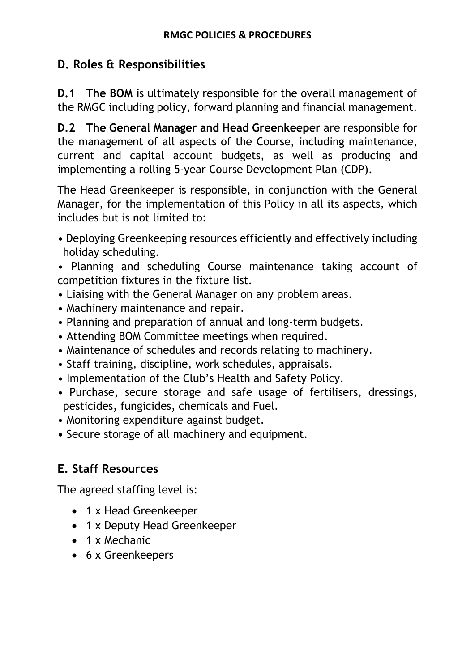# **D. Roles & Responsibilities**

**D.1 The BOM** is ultimately responsible for the overall management of the RMGC including policy, forward planning and financial management.

**D.2 The General Manager and Head Greenkeeper** are responsible for the management of all aspects of the Course, including maintenance, current and capital account budgets, as well as producing and implementing a rolling 5-year Course Development Plan (CDP).

The Head Greenkeeper is responsible, in conjunction with the General Manager, for the implementation of this Policy in all its aspects, which includes but is not limited to:

**•** Deploying Greenkeeping resources efficiently and effectively including holiday scheduling.

• Planning and scheduling Course maintenance taking account of competition fixtures in the fixture list.

- Liaising with the General Manager on any problem areas.
- Machinery maintenance and repair.
- Planning and preparation of annual and long-term budgets.
- Attending BOM Committee meetings when required.
- Maintenance of schedules and records relating to machinery.
- Staff training, discipline, work schedules, appraisals.
- Implementation of the Club's Health and Safety Policy.
- Purchase, secure storage and safe usage of fertilisers, dressings, pesticides, fungicides, chemicals and Fuel.
- Monitoring expenditure against budget.
- Secure storage of all machinery and equipment.

# **E. Staff Resources**

The agreed staffing level is:

- 1 x Head Greenkeeper
- 1 x Deputy Head Greenkeeper
- 1 x Mechanic
- 6 x Greenkeepers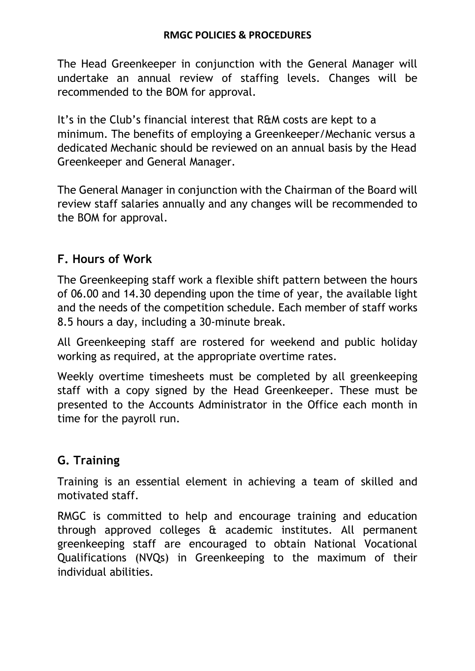The Head Greenkeeper in conjunction with the General Manager will undertake an annual review of staffing levels. Changes will be recommended to the BOM for approval.

It's in the Club's financial interest that R&M costs are kept to a minimum. The benefits of employing a Greenkeeper/Mechanic versus a dedicated Mechanic should be reviewed on an annual basis by the Head Greenkeeper and General Manager.

The General Manager in conjunction with the Chairman of the Board will review staff salaries annually and any changes will be recommended to the BOM for approval.

## **F. Hours of Work**

The Greenkeeping staff work a flexible shift pattern between the hours of 06.00 and 14.30 depending upon the time of year, the available light and the needs of the competition schedule. Each member of staff works 8.5 hours a day, including a 30-minute break.

All Greenkeeping staff are rostered for weekend and public holiday working as required, at the appropriate overtime rates.

Weekly overtime timesheets must be completed by all greenkeeping staff with a copy signed by the Head Greenkeeper. These must be presented to the Accounts Administrator in the Office each month in time for the payroll run.

## **G. Training**

Training is an essential element in achieving a team of skilled and motivated staff.

RMGC is committed to help and encourage training and education through approved colleges & academic institutes. All permanent greenkeeping staff are encouraged to obtain National Vocational Qualifications (NVQs) in Greenkeeping to the maximum of their individual abilities.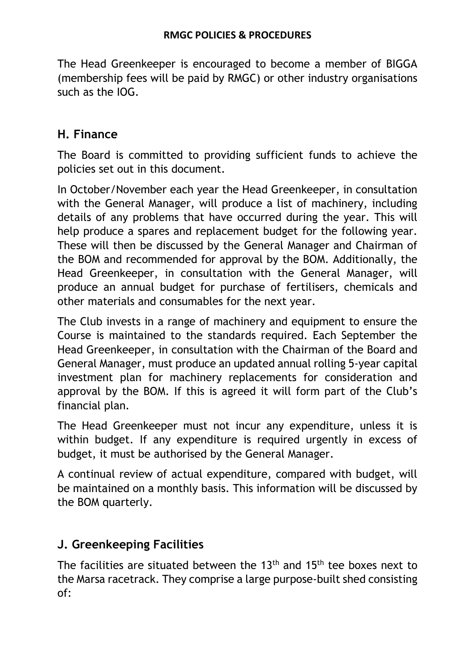The Head Greenkeeper is encouraged to become a member of BIGGA (membership fees will be paid by RMGC) or other industry organisations such as the IOG.

## **H. Finance**

The Board is committed to providing sufficient funds to achieve the policies set out in this document.

In October/November each year the Head Greenkeeper, in consultation with the General Manager, will produce a list of machinery, including details of any problems that have occurred during the year. This will help produce a spares and replacement budget for the following year. These will then be discussed by the General Manager and Chairman of the BOM and recommended for approval by the BOM. Additionally, the Head Greenkeeper, in consultation with the General Manager, will produce an annual budget for purchase of fertilisers, chemicals and other materials and consumables for the next year.

The Club invests in a range of machinery and equipment to ensure the Course is maintained to the standards required. Each September the Head Greenkeeper, in consultation with the Chairman of the Board and General Manager, must produce an updated annual rolling 5-year capital investment plan for machinery replacements for consideration and approval by the BOM. If this is agreed it will form part of the Club's financial plan.

The Head Greenkeeper must not incur any expenditure, unless it is within budget. If any expenditure is required urgently in excess of budget, it must be authorised by the General Manager.

A continual review of actual expenditure, compared with budget, will be maintained on a monthly basis. This information will be discussed by the BOM quarterly.

## **J. Greenkeeping Facilities**

The facilities are situated between the  $13<sup>th</sup>$  and  $15<sup>th</sup>$  tee boxes next to the Marsa racetrack. They comprise a large purpose-built shed consisting of: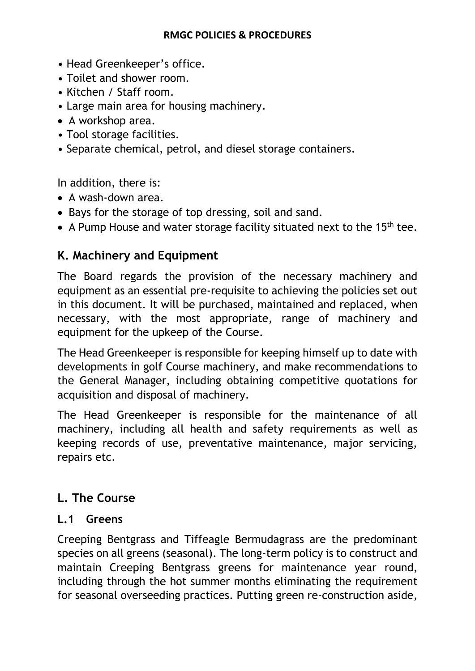- Head Greenkeeper's office.
- Toilet and shower room.
- Kitchen / Staff room.
- Large main area for housing machinery.
- A workshop area.
- Tool storage facilities.
- Separate chemical, petrol, and diesel storage containers.

In addition, there is:

- A wash-down area.
- Bays for the storage of top dressing, soil and sand.
- A Pump House and water storage facility situated next to the 15<sup>th</sup> tee.

## **K. Machinery and Equipment**

The Board regards the provision of the necessary machinery and equipment as an essential pre-requisite to achieving the policies set out in this document. It will be purchased, maintained and replaced, when necessary, with the most appropriate, range of machinery and equipment for the upkeep of the Course.

The Head Greenkeeper is responsible for keeping himself up to date with developments in golf Course machinery, and make recommendations to the General Manager, including obtaining competitive quotations for acquisition and disposal of machinery.

The Head Greenkeeper is responsible for the maintenance of all machinery, including all health and safety requirements as well as keeping records of use, preventative maintenance, major servicing, repairs etc.

## **L. The Course**

#### **L.1 Greens**

Creeping Bentgrass and Tiffeagle Bermudagrass are the predominant species on all greens (seasonal). The long-term policy is to construct and maintain Creeping Bentgrass greens for maintenance year round, including through the hot summer months eliminating the requirement for seasonal overseeding practices. Putting green re-construction aside,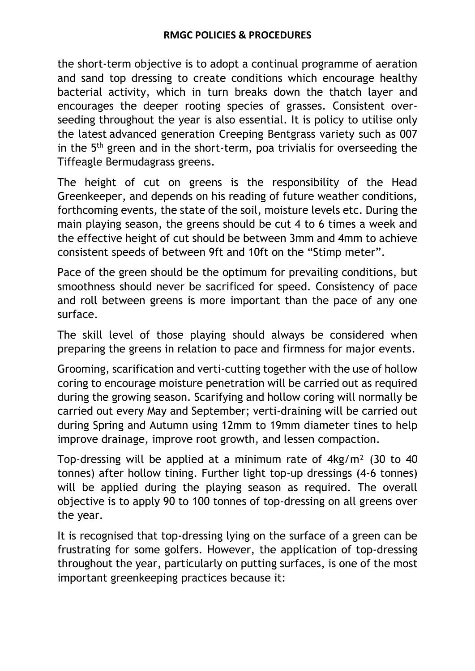the short-term objective is to adopt a continual programme of aeration and sand top dressing to create conditions which encourage healthy bacterial activity, which in turn breaks down the thatch layer and encourages the deeper rooting species of grasses. Consistent overseeding throughout the year is also essential. It is policy to utilise only the latest advanced generation Creeping Bentgrass variety such as 007 in the 5<sup>th</sup> green and in the short-term, poa trivialis for overseeding the Tiffeagle Bermudagrass greens.

The height of cut on greens is the responsibility of the Head Greenkeeper, and depends on his reading of future weather conditions, forthcoming events, the state of the soil, moisture levels etc. During the main playing season, the greens should be cut 4 to 6 times a week and the effective height of cut should be between 3mm and 4mm to achieve consistent speeds of between 9ft and 10ft on the "Stimp meter".

Pace of the green should be the optimum for prevailing conditions, but smoothness should never be sacrificed for speed. Consistency of pace and roll between greens is more important than the pace of any one surface.

The skill level of those playing should always be considered when preparing the greens in relation to pace and firmness for major events.

Grooming, scarification and verti-cutting together with the use of hollow coring to encourage moisture penetration will be carried out as required during the growing season. Scarifying and hollow coring will normally be carried out every May and September; verti-draining will be carried out during Spring and Autumn using 12mm to 19mm diameter tines to help improve drainage, improve root growth, and lessen compaction.

Top-dressing will be applied at a minimum rate of 4kg/m² (30 to 40 tonnes) after hollow tining. Further light top-up dressings (4-6 tonnes) will be applied during the playing season as required. The overall objective is to apply 90 to 100 tonnes of top-dressing on all greens over the year.

It is recognised that top-dressing lying on the surface of a green can be frustrating for some golfers. However, the application of top-dressing throughout the year, particularly on putting surfaces, is one of the most important greenkeeping practices because it: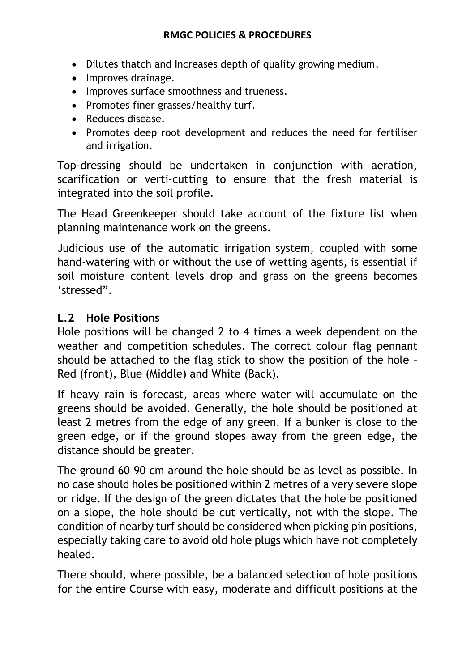- Dilutes thatch and Increases depth of quality growing medium.
- Improves drainage.
- Improves surface smoothness and trueness.
- Promotes finer grasses/healthy turf.
- Reduces disease.
- Promotes deep root development and reduces the need for fertiliser and irrigation.

Top-dressing should be undertaken in conjunction with aeration, scarification or verti-cutting to ensure that the fresh material is integrated into the soil profile.

The Head Greenkeeper should take account of the fixture list when planning maintenance work on the greens.

Judicious use of the automatic irrigation system, coupled with some hand-watering with or without the use of wetting agents, is essential if soil moisture content levels drop and grass on the greens becomes 'stressed".

### **L.2 Hole Positions**

Hole positions will be changed 2 to 4 times a week dependent on the weather and competition schedules. The correct colour flag pennant should be attached to the flag stick to show the position of the hole – Red (front), Blue (Middle) and White (Back).

If heavy rain is forecast, areas where water will accumulate on the greens should be avoided. Generally, the hole should be positioned at least 2 metres from the edge of any green. If a bunker is close to the green edge, or if the ground slopes away from the green edge, the distance should be greater.

The ground 60–90 cm around the hole should be as level as possible. In no case should holes be positioned within 2 metres of a very severe slope or ridge. If the design of the green dictates that the hole be positioned on a slope, the hole should be cut vertically, not with the slope. The condition of nearby turf should be considered when picking pin positions, especially taking care to avoid old hole plugs which have not completely healed.

There should, where possible, be a balanced selection of hole positions for the entire Course with easy, moderate and difficult positions at the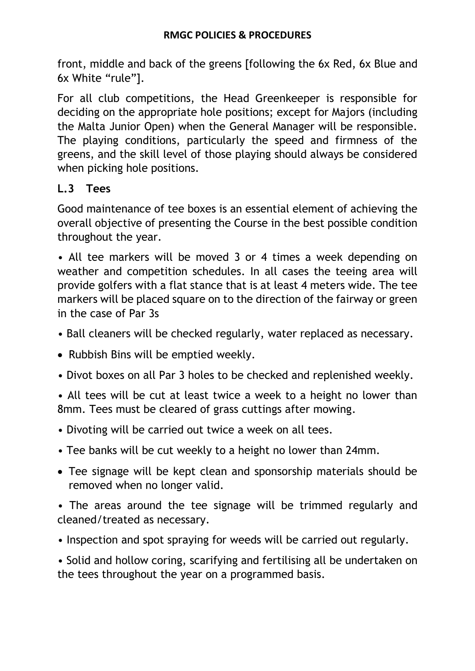front, middle and back of the greens [following the 6x Red, 6x Blue and 6x White "rule"].

For all club competitions, the Head Greenkeeper is responsible for deciding on the appropriate hole positions; except for Majors (including the Malta Junior Open) when the General Manager will be responsible. The playing conditions, particularly the speed and firmness of the greens, and the skill level of those playing should always be considered when picking hole positions.

### **L.3 Tees**

Good maintenance of tee boxes is an essential element of achieving the overall objective of presenting the Course in the best possible condition throughout the year.

• All tee markers will be moved 3 or 4 times a week depending on weather and competition schedules. In all cases the teeing area will provide golfers with a flat stance that is at least 4 meters wide. The tee markers will be placed square on to the direction of the fairway or green in the case of Par 3s

- Ball cleaners will be checked regularly, water replaced as necessary.
- Rubbish Bins will be emptied weekly.
- Divot boxes on all Par 3 holes to be checked and replenished weekly.

• All tees will be cut at least twice a week to a height no lower than 8mm. Tees must be cleared of grass cuttings after mowing.

- Divoting will be carried out twice a week on all tees.
- Tee banks will be cut weekly to a height no lower than 24mm.
- Tee signage will be kept clean and sponsorship materials should be removed when no longer valid.

• The areas around the tee signage will be trimmed regularly and cleaned/treated as necessary.

• Inspection and spot spraying for weeds will be carried out regularly.

• Solid and hollow coring, scarifying and fertilising all be undertaken on the tees throughout the year on a programmed basis.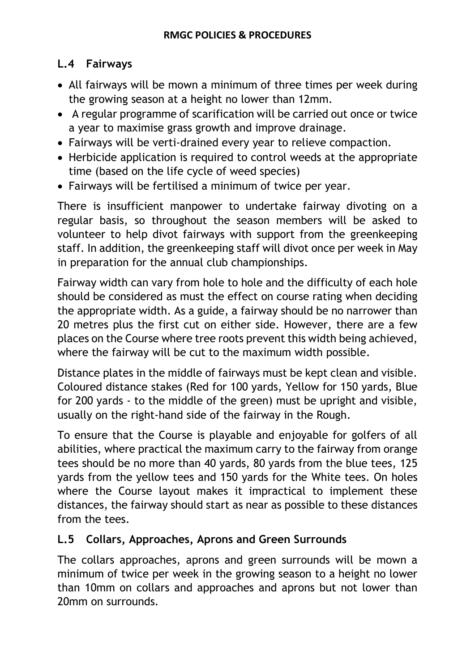## **L.4 Fairways**

- All fairways will be mown a minimum of three times per week during the growing season at a height no lower than 12mm.
- A regular programme of scarification will be carried out once or twice a year to maximise grass growth and improve drainage.
- Fairways will be verti-drained every year to relieve compaction.
- Herbicide application is required to control weeds at the appropriate time (based on the life cycle of weed species)
- Fairways will be fertilised a minimum of twice per year.

There is insufficient manpower to undertake fairway divoting on a regular basis, so throughout the season members will be asked to volunteer to help divot fairways with support from the greenkeeping staff. In addition, the greenkeeping staff will divot once per week in May in preparation for the annual club championships.

Fairway width can vary from hole to hole and the difficulty of each hole should be considered as must the effect on course rating when deciding the appropriate width. As a guide, a fairway should be no narrower than 20 metres plus the first cut on either side. However, there are a few places on the Course where tree roots prevent this width being achieved, where the fairway will be cut to the maximum width possible.

Distance plates in the middle of fairways must be kept clean and visible. Coloured distance stakes (Red for 100 yards, Yellow for 150 yards, Blue for 200 yards - to the middle of the green) must be upright and visible, usually on the right-hand side of the fairway in the Rough.

To ensure that the Course is playable and enjoyable for golfers of all abilities, where practical the maximum carry to the fairway from orange tees should be no more than 40 yards, 80 yards from the blue tees, 125 yards from the yellow tees and 150 yards for the White tees. On holes where the Course layout makes it impractical to implement these distances, the fairway should start as near as possible to these distances from the tees.

## **L.5 Collars, Approaches, Aprons and Green Surrounds**

The collars approaches, aprons and green surrounds will be mown a minimum of twice per week in the growing season to a height no lower than 10mm on collars and approaches and aprons but not lower than 20mm on surrounds.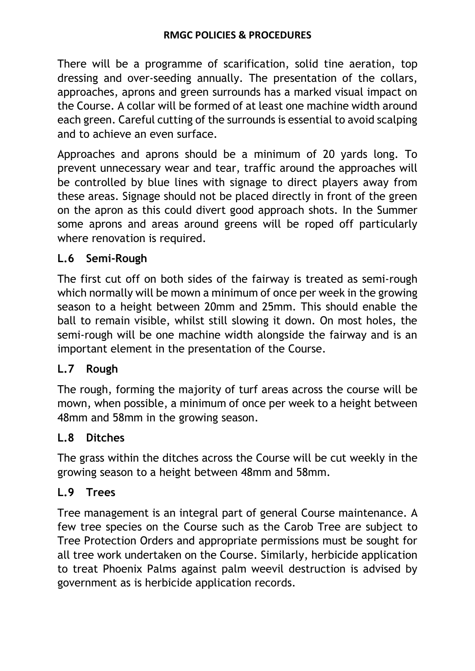There will be a programme of scarification, solid tine aeration, top dressing and over-seeding annually. The presentation of the collars, approaches, aprons and green surrounds has a marked visual impact on the Course. A collar will be formed of at least one machine width around each green. Careful cutting of the surrounds is essential to avoid scalping and to achieve an even surface.

Approaches and aprons should be a minimum of 20 yards long. To prevent unnecessary wear and tear, traffic around the approaches will be controlled by blue lines with signage to direct players away from these areas. Signage should not be placed directly in front of the green on the apron as this could divert good approach shots. In the Summer some aprons and areas around greens will be roped off particularly where renovation is required.

### **L.6 Semi-Rough**

The first cut off on both sides of the fairway is treated as semi-rough which normally will be mown a minimum of once per week in the growing season to a height between 20mm and 25mm. This should enable the ball to remain visible, whilst still slowing it down. On most holes, the semi-rough will be one machine width alongside the fairway and is an important element in the presentation of the Course.

### **L.7 Rough**

The rough, forming the majority of turf areas across the course will be mown, when possible, a minimum of once per week to a height between 48mm and 58mm in the growing season.

## **L.8 Ditches**

The grass within the ditches across the Course will be cut weekly in the growing season to a height between 48mm and 58mm.

## **L.9 Trees**

Tree management is an integral part of general Course maintenance. A few tree species on the Course such as the Carob Tree are subject to Tree Protection Orders and appropriate permissions must be sought for all tree work undertaken on the Course. Similarly, herbicide application to treat Phoenix Palms against palm weevil destruction is advised by government as is herbicide application records.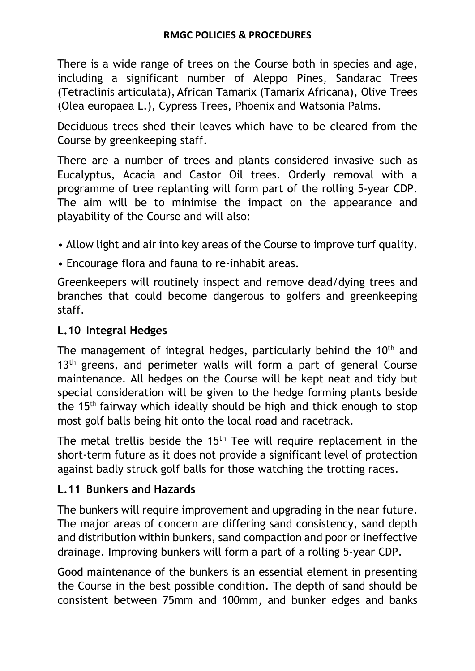There is a wide range of trees on the Course both in species and age, including a significant number of Aleppo Pines, Sandarac Trees (Tetraclinis articulata), African Tamarix (Tamarix Africana), Olive Trees (Olea europaea L.), Cypress Trees, Phoenix and Watsonia Palms.

Deciduous trees shed their leaves which have to be cleared from the Course by greenkeeping staff.

There are a number of trees and plants considered invasive such as Eucalyptus, Acacia and Castor Oil trees. Orderly removal with a programme of tree replanting will form part of the rolling 5-year CDP. The aim will be to minimise the impact on the appearance and playability of the Course and will also:

- Allow light and air into key areas of the Course to improve turf quality.
- Encourage flora and fauna to re-inhabit areas.

Greenkeepers will routinely inspect and remove dead/dying trees and branches that could become dangerous to golfers and greenkeeping staff.

### **L.10 Integral Hedges**

The management of integral hedges, particularly behind the 10<sup>th</sup> and 13<sup>th</sup> greens, and perimeter walls will form a part of general Course maintenance. All hedges on the Course will be kept neat and tidy but special consideration will be given to the hedge forming plants beside the 15th fairway which ideally should be high and thick enough to stop most golf balls being hit onto the local road and racetrack.

The metal trellis beside the 15<sup>th</sup> Tee will require replacement in the short-term future as it does not provide a significant level of protection against badly struck golf balls for those watching the trotting races.

### **L.11 Bunkers and Hazards**

The bunkers will require improvement and upgrading in the near future. The major areas of concern are differing sand consistency, sand depth and distribution within bunkers, sand compaction and poor or ineffective drainage. Improving bunkers will form a part of a rolling 5-year CDP.

Good maintenance of the bunkers is an essential element in presenting the Course in the best possible condition. The depth of sand should be consistent between 75mm and 100mm, and bunker edges and banks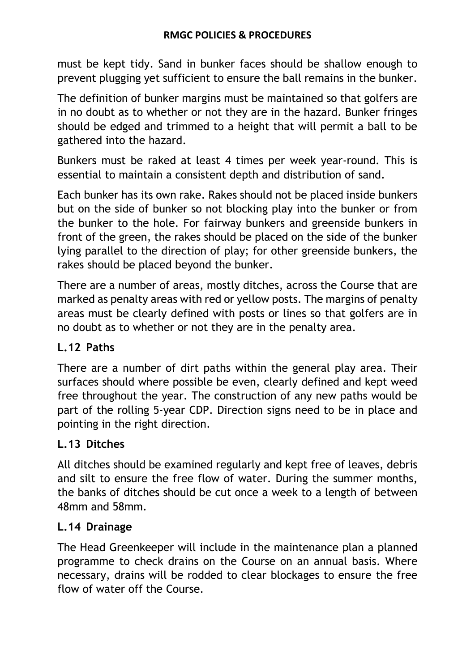must be kept tidy. Sand in bunker faces should be shallow enough to prevent plugging yet sufficient to ensure the ball remains in the bunker.

The definition of bunker margins must be maintained so that golfers are in no doubt as to whether or not they are in the hazard. Bunker fringes should be edged and trimmed to a height that will permit a ball to be gathered into the hazard.

Bunkers must be raked at least 4 times per week year-round. This is essential to maintain a consistent depth and distribution of sand.

Each bunker has its own rake. Rakes should not be placed inside bunkers but on the side of bunker so not blocking play into the bunker or from the bunker to the hole. For fairway bunkers and greenside bunkers in front of the green, the rakes should be placed on the side of the bunker lying parallel to the direction of play; for other greenside bunkers, the rakes should be placed beyond the bunker.

There are a number of areas, mostly ditches, across the Course that are marked as penalty areas with red or yellow posts. The margins of penalty areas must be clearly defined with posts or lines so that golfers are in no doubt as to whether or not they are in the penalty area.

### **L.12 Paths**

There are a number of dirt paths within the general play area. Their surfaces should where possible be even, clearly defined and kept weed free throughout the year. The construction of any new paths would be part of the rolling 5-year CDP. Direction signs need to be in place and pointing in the right direction.

## **L.13 Ditches**

All ditches should be examined regularly and kept free of leaves, debris and silt to ensure the free flow of water. During the summer months, the banks of ditches should be cut once a week to a length of between 48mm and 58mm.

### **L.14 Drainage**

The Head Greenkeeper will include in the maintenance plan a planned programme to check drains on the Course on an annual basis. Where necessary, drains will be rodded to clear blockages to ensure the free flow of water off the Course.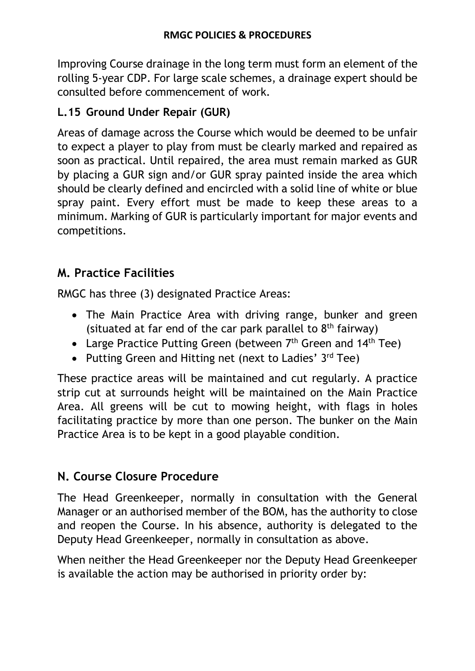Improving Course drainage in the long term must form an element of the rolling 5-year CDP. For large scale schemes, a drainage expert should be consulted before commencement of work.

## **L.15 Ground Under Repair (GUR)**

Areas of damage across the Course which would be deemed to be unfair to expect a player to play from must be clearly marked and repaired as soon as practical. Until repaired, the area must remain marked as GUR by placing a GUR sign and/or GUR spray painted inside the area which should be clearly defined and encircled with a solid line of white or blue spray paint. Every effort must be made to keep these areas to a minimum. Marking of GUR is particularly important for major events and competitions.

## **M. Practice Facilities**

RMGC has three (3) designated Practice Areas:

- The Main Practice Area with driving range, bunker and green (situated at far end of the car park parallel to  $8<sup>th</sup>$  fairway)
- Large Practice Putting Green (between  $7<sup>th</sup>$  Green and  $14<sup>th</sup>$  Tee)
- Putting Green and Hitting net (next to Ladies' 3rd Tee)

These practice areas will be maintained and cut regularly. A practice strip cut at surrounds height will be maintained on the Main Practice Area. All greens will be cut to mowing height, with flags in holes facilitating practice by more than one person. The bunker on the Main Practice Area is to be kept in a good playable condition.

## **N. Course Closure Procedure**

The Head Greenkeeper, normally in consultation with the General Manager or an authorised member of the BOM, has the authority to close and reopen the Course. In his absence, authority is delegated to the Deputy Head Greenkeeper, normally in consultation as above.

When neither the Head Greenkeeper nor the Deputy Head Greenkeeper is available the action may be authorised in priority order by: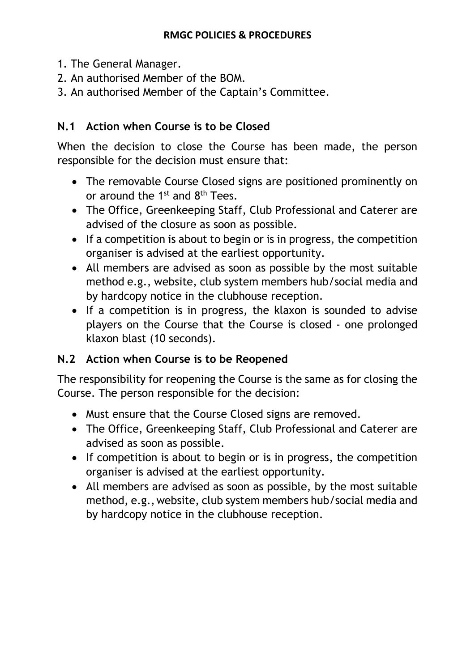- 1. The General Manager.
- 2. An authorised Member of the BOM.
- 3. An authorised Member of the Captain's Committee.

## **N.1 Action when Course is to be Closed**

When the decision to close the Course has been made, the person responsible for the decision must ensure that:

- The removable Course Closed signs are positioned prominently on or around the  $1^{st}$  and  $8^{th}$  Tees.
- The Office, Greenkeeping Staff, Club Professional and Caterer are advised of the closure as soon as possible.
- If a competition is about to begin or is in progress, the competition organiser is advised at the earliest opportunity.
- All members are advised as soon as possible by the most suitable method e.g., website, club system members hub/social media and by hardcopy notice in the clubhouse reception.
- If a competition is in progress, the klaxon is sounded to advise players on the Course that the Course is closed - one prolonged klaxon blast (10 seconds).

## **N.2 Action when Course is to be Reopened**

The responsibility for reopening the Course is the same as for closing the Course. The person responsible for the decision:

- Must ensure that the Course Closed signs are removed.
- The Office, Greenkeeping Staff, Club Professional and Caterer are advised as soon as possible.
- If competition is about to begin or is in progress, the competition organiser is advised at the earliest opportunity.
- All members are advised as soon as possible, by the most suitable method, e.g.,website, club system members hub/social media and by hardcopy notice in the clubhouse reception.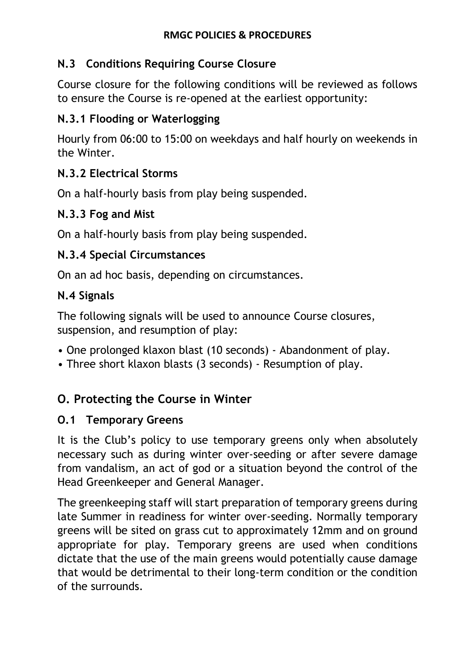### **N.3 Conditions Requiring Course Closure**

Course closure for the following conditions will be reviewed as follows to ensure the Course is re-opened at the earliest opportunity:

## **N.3.1 Flooding or Waterlogging**

Hourly from 06:00 to 15:00 on weekdays and half hourly on weekends in the Winter.

### **N.3.2 Electrical Storms**

On a half-hourly basis from play being suspended.

### **N.3.3 Fog and Mist**

On a half-hourly basis from play being suspended.

### **N.3.4 Special Circumstances**

On an ad hoc basis, depending on circumstances.

### **N.4 Signals**

The following signals will be used to announce Course closures, suspension, and resumption of play:

- One prolonged klaxon blast (10 seconds) Abandonment of play.
- Three short klaxon blasts (3 seconds) Resumption of play.

# **O. Protecting the Course in Winter**

### **O.1 Temporary Greens**

It is the Club's policy to use temporary greens only when absolutely necessary such as during winter over-seeding or after severe damage from vandalism, an act of god or a situation beyond the control of the Head Greenkeeper and General Manager.

The greenkeeping staff will start preparation of temporary greens during late Summer in readiness for winter over-seeding. Normally temporary greens will be sited on grass cut to approximately 12mm and on ground appropriate for play. Temporary greens are used when conditions dictate that the use of the main greens would potentially cause damage that would be detrimental to their long-term condition or the condition of the surrounds.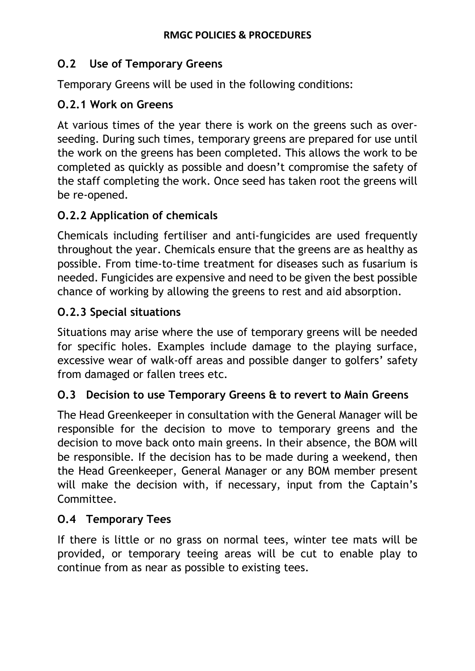## **O.2 Use of Temporary Greens**

Temporary Greens will be used in the following conditions:

## **O.2.1 Work on Greens**

At various times of the year there is work on the greens such as overseeding. During such times, temporary greens are prepared for use until the work on the greens has been completed. This allows the work to be completed as quickly as possible and doesn't compromise the safety of the staff completing the work. Once seed has taken root the greens will be re-opened.

## **O.2.2 Application of chemicals**

Chemicals including fertiliser and anti-fungicides are used frequently throughout the year. Chemicals ensure that the greens are as healthy as possible. From time-to-time treatment for diseases such as fusarium is needed. Fungicides are expensive and need to be given the best possible chance of working by allowing the greens to rest and aid absorption.

## **O.2.3 Special situations**

Situations may arise where the use of temporary greens will be needed for specific holes. Examples include damage to the playing surface, excessive wear of walk-off areas and possible danger to golfers' safety from damaged or fallen trees etc.

### **O.3 Decision to use Temporary Greens & to revert to Main Greens**

The Head Greenkeeper in consultation with the General Manager will be responsible for the decision to move to temporary greens and the decision to move back onto main greens. In their absence, the BOM will be responsible. If the decision has to be made during a weekend, then the Head Greenkeeper, General Manager or any BOM member present will make the decision with, if necessary, input from the Captain's Committee.

### **O.4 Temporary Tees**

If there is little or no grass on normal tees, winter tee mats will be provided, or temporary teeing areas will be cut to enable play to continue from as near as possible to existing tees.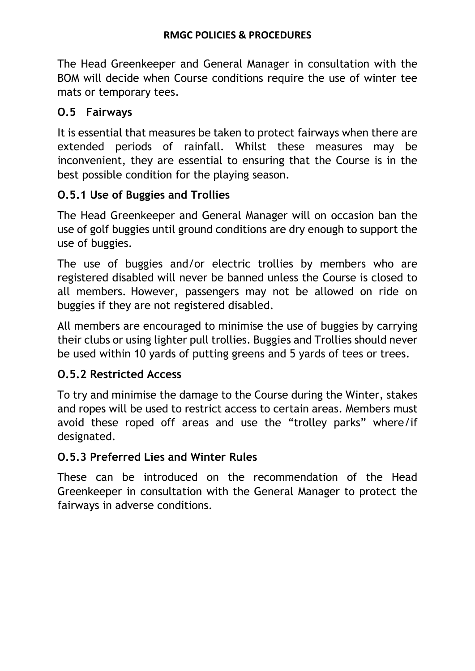The Head Greenkeeper and General Manager in consultation with the BOM will decide when Course conditions require the use of winter tee mats or temporary tees.

## **O.5 Fairways**

It is essential that measures be taken to protect fairways when there are extended periods of rainfall. Whilst these measures may be inconvenient, they are essential to ensuring that the Course is in the best possible condition for the playing season.

## **O.5.1 Use of Buggies and Trollies**

The Head Greenkeeper and General Manager will on occasion ban the use of golf buggies until ground conditions are dry enough to support the use of buggies.

The use of buggies and/or electric trollies by members who are registered disabled will never be banned unless the Course is closed to all members. However, passengers may not be allowed on ride on buggies if they are not registered disabled.

All members are encouraged to minimise the use of buggies by carrying their clubs or using lighter pull trollies. Buggies and Trollies should never be used within 10 yards of putting greens and 5 yards of tees or trees.

### **O.5.2 Restricted Access**

To try and minimise the damage to the Course during the Winter, stakes and ropes will be used to restrict access to certain areas. Members must avoid these roped off areas and use the "trolley parks" where/if designated.

### **O.5.3 Preferred Lies and Winter Rules**

These can be introduced on the recommendation of the Head Greenkeeper in consultation with the General Manager to protect the fairways in adverse conditions.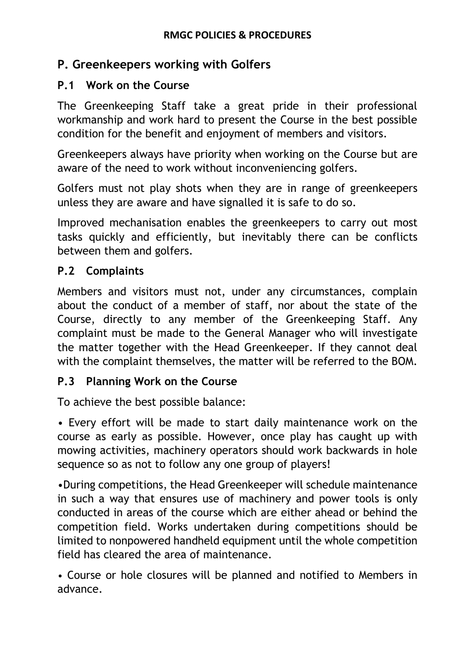## **P. Greenkeepers working with Golfers**

#### **P.1 Work on the Course**

The Greenkeeping Staff take a great pride in their professional workmanship and work hard to present the Course in the best possible condition for the benefit and enjoyment of members and visitors.

Greenkeepers always have priority when working on the Course but are aware of the need to work without inconveniencing golfers.

Golfers must not play shots when they are in range of greenkeepers unless they are aware and have signalled it is safe to do so.

Improved mechanisation enables the greenkeepers to carry out most tasks quickly and efficiently, but inevitably there can be conflicts between them and golfers.

#### **P.2 Complaints**

Members and visitors must not, under any circumstances, complain about the conduct of a member of staff, nor about the state of the Course, directly to any member of the Greenkeeping Staff. Any complaint must be made to the General Manager who will investigate the matter together with the Head Greenkeeper. If they cannot deal with the complaint themselves, the matter will be referred to the BOM.

### **P.3 Planning Work on the Course**

To achieve the best possible balance:

• Every effort will be made to start daily maintenance work on the course as early as possible. However, once play has caught up with mowing activities, machinery operators should work backwards in hole sequence so as not to follow any one group of players!

•During competitions, the Head Greenkeeper will schedule maintenance in such a way that ensures use of machinery and power tools is only conducted in areas of the course which are either ahead or behind the competition field. Works undertaken during competitions should be limited to nonpowered handheld equipment until the whole competition field has cleared the area of maintenance.

• Course or hole closures will be planned and notified to Members in advance.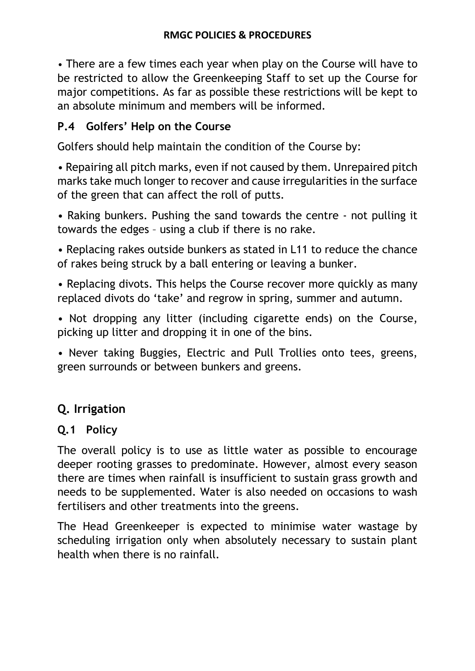• There are a few times each year when play on the Course will have to be restricted to allow the Greenkeeping Staff to set up the Course for major competitions. As far as possible these restrictions will be kept to an absolute minimum and members will be informed.

## **P.4 Golfers' Help on the Course**

Golfers should help maintain the condition of the Course by:

• Repairing all pitch marks, even if not caused by them. Unrepaired pitch marks take much longer to recover and cause irregularities in the surface of the green that can affect the roll of putts.

• Raking bunkers. Pushing the sand towards the centre - not pulling it towards the edges – using a club if there is no rake.

• Replacing rakes outside bunkers as stated in L11 to reduce the chance of rakes being struck by a ball entering or leaving a bunker.

• Replacing divots. This helps the Course recover more quickly as many replaced divots do 'take' and regrow in spring, summer and autumn.

• Not dropping any litter (including cigarette ends) on the Course, picking up litter and dropping it in one of the bins.

• Never taking Buggies, Electric and Pull Trollies onto tees, greens, green surrounds or between bunkers and greens.

# **Q. Irrigation**

## **Q.1 Policy**

The overall policy is to use as little water as possible to encourage deeper rooting grasses to predominate. However, almost every season there are times when rainfall is insufficient to sustain grass growth and needs to be supplemented. Water is also needed on occasions to wash fertilisers and other treatments into the greens.

The Head Greenkeeper is expected to minimise water wastage by scheduling irrigation only when absolutely necessary to sustain plant health when there is no rainfall.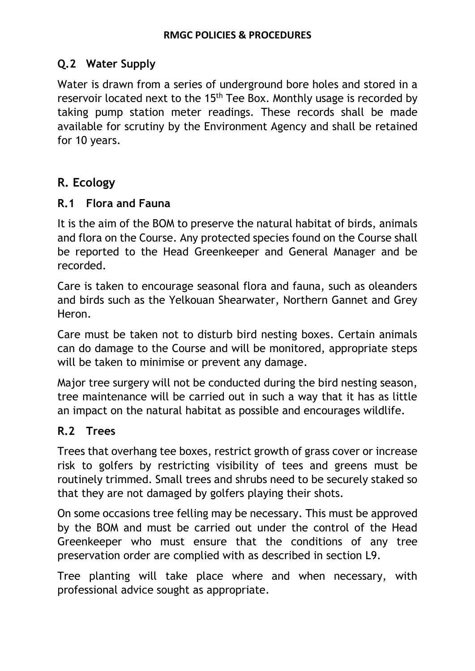### **Q.2 Water Supply**

Water is drawn from a series of underground bore holes and stored in a reservoir located next to the 15<sup>th</sup> Tee Box. Monthly usage is recorded by taking pump station meter readings. These records shall be made available for scrutiny by the Environment Agency and shall be retained for 10 years.

## **R. Ecology**

#### **R.1 Flora and Fauna**

It is the aim of the BOM to preserve the natural habitat of birds, animals and flora on the Course. Any protected species found on the Course shall be reported to the Head Greenkeeper and General Manager and be recorded.

Care is taken to encourage seasonal flora and fauna, such as oleanders and birds such as the Yelkouan Shearwater, Northern Gannet and Grey Heron.

Care must be taken not to disturb bird nesting boxes. Certain animals can do damage to the Course and will be monitored, appropriate steps will be taken to minimise or prevent any damage.

Major tree surgery will not be conducted during the bird nesting season, tree maintenance will be carried out in such a way that it has as little an impact on the natural habitat as possible and encourages wildlife.

### **R.2 Trees**

Trees that overhang tee boxes, restrict growth of grass cover or increase risk to golfers by restricting visibility of tees and greens must be routinely trimmed. Small trees and shrubs need to be securely staked so that they are not damaged by golfers playing their shots.

On some occasions tree felling may be necessary. This must be approved by the BOM and must be carried out under the control of the Head Greenkeeper who must ensure that the conditions of any tree preservation order are complied with as described in section L9.

Tree planting will take place where and when necessary, with professional advice sought as appropriate.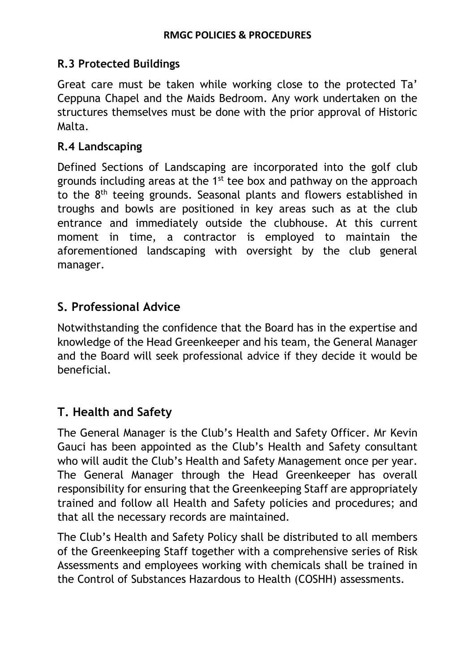### **R.3 Protected Buildings**

Great care must be taken while working close to the protected Ta' Ceppuna Chapel and the Maids Bedroom. Any work undertaken on the structures themselves must be done with the prior approval of Historic Malta.

### **R.4 Landscaping**

Defined Sections of Landscaping are incorporated into the golf club grounds including areas at the 1<sup>st</sup> tee box and pathway on the approach to the 8<sup>th</sup> teeing grounds. Seasonal plants and flowers established in troughs and bowls are positioned in key areas such as at the club entrance and immediately outside the clubhouse. At this current moment in time, a contractor is employed to maintain the aforementioned landscaping with oversight by the club general manager.

## **S. Professional Advice**

Notwithstanding the confidence that the Board has in the expertise and knowledge of the Head Greenkeeper and his team, the General Manager and the Board will seek professional advice if they decide it would be beneficial.

# **T. Health and Safety**

The General Manager is the Club's Health and Safety Officer. Mr Kevin Gauci has been appointed as the Club's Health and Safety consultant who will audit the Club's Health and Safety Management once per year. The General Manager through the Head Greenkeeper has overall responsibility for ensuring that the Greenkeeping Staff are appropriately trained and follow all Health and Safety policies and procedures; and that all the necessary records are maintained.

The Club's Health and Safety Policy shall be distributed to all members of the Greenkeeping Staff together with a comprehensive series of Risk Assessments and employees working with chemicals shall be trained in the Control of Substances Hazardous to Health (COSHH) assessments.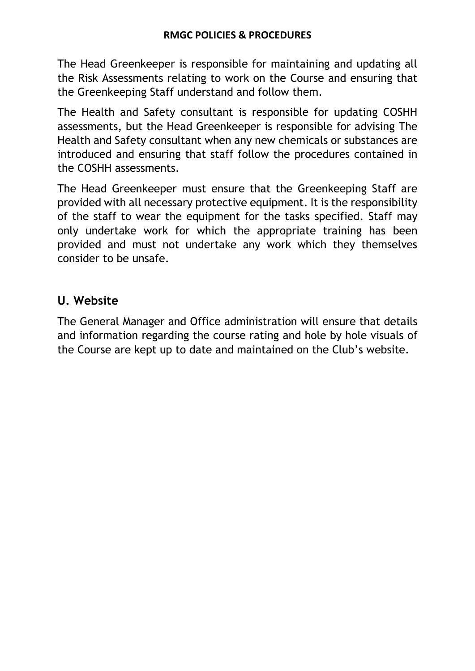The Head Greenkeeper is responsible for maintaining and updating all the Risk Assessments relating to work on the Course and ensuring that the Greenkeeping Staff understand and follow them.

The Health and Safety consultant is responsible for updating COSHH assessments, but the Head Greenkeeper is responsible for advising The Health and Safety consultant when any new chemicals or substances are introduced and ensuring that staff follow the procedures contained in the COSHH assessments.

The Head Greenkeeper must ensure that the Greenkeeping Staff are provided with all necessary protective equipment. It is the responsibility of the staff to wear the equipment for the tasks specified. Staff may only undertake work for which the appropriate training has been provided and must not undertake any work which they themselves consider to be unsafe.

## **U. Website**

The General Manager and Office administration will ensure that details and information regarding the course rating and hole by hole visuals of the Course are kept up to date and maintained on the Club's website.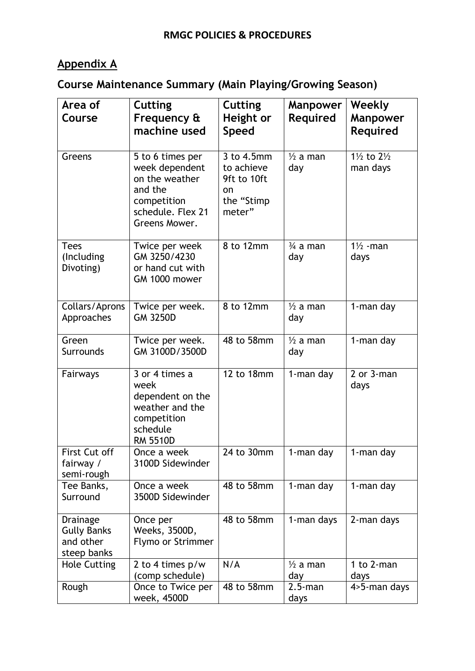# **Appendix A**

# **Course Maintenance Summary (Main Playing/Growing Season)**

| Area of<br>Course                                                 | <b>Cutting</b>                                                                                                       | <b>Cutting</b>                                                        | <b>Manpower</b>            | Weekly                                       |
|-------------------------------------------------------------------|----------------------------------------------------------------------------------------------------------------------|-----------------------------------------------------------------------|----------------------------|----------------------------------------------|
|                                                                   | Frequency &<br>machine used                                                                                          | Height or<br><b>Speed</b>                                             | <b>Required</b>            | <b>Manpower</b><br><b>Required</b>           |
| Greens                                                            | 5 to 6 times per<br>week dependent<br>on the weather<br>and the<br>competition<br>schedule. Flex 21<br>Greens Mower. | 3 to 4.5mm<br>to achieve<br>9ft to 10ft<br>on<br>the "Stimp<br>meter" | $\frac{1}{2}$ a man<br>day | $1\frac{1}{2}$ to $2\frac{1}{2}$<br>man days |
| <b>Tees</b><br>(Including<br>Divoting)                            | Twice per week<br>GM 3250/4230<br>or hand cut with<br>GM 1000 mower                                                  | 8 to 12mm                                                             | $\frac{3}{4}$ a man<br>day | $1\frac{1}{2}$ -man<br>days                  |
| Collars/Aprons<br>Approaches                                      | Twice per week.<br><b>GM 3250D</b>                                                                                   | 8 to 12mm                                                             | $\frac{1}{2}$ a man<br>day | 1-man day                                    |
| Green<br>Surrounds                                                | Twice per week.<br>GM 3100D/3500D                                                                                    | 48 to 58mm                                                            | $\frac{1}{2}$ a man<br>day | 1-man day                                    |
| Fairways                                                          | 3 or 4 times a<br>week<br>dependent on the<br>weather and the<br>competition<br>schedule<br><b>RM 5510D</b>          | 12 to 18mm                                                            | 1-man day                  | 2 or 3-man<br>days                           |
| First Cut off<br>fairway /<br>semi-rough                          | Once a week<br>3100D Sidewinder                                                                                      | 24 to 30mm                                                            | 1-man day                  | 1-man day                                    |
| Tee Banks,<br>Surround                                            | Once a week<br>3500D Sidewinder                                                                                      | 48 to 58mm                                                            | 1-man day                  | 1-man day                                    |
| <b>Drainage</b><br><b>Gully Banks</b><br>and other<br>steep banks | Once per<br>Weeks, 3500D,<br>Flymo or Strimmer                                                                       | 48 to 58mm                                                            | 1-man days                 | 2-man days                                   |
| <b>Hole Cutting</b>                                               | 2 to 4 times p/w<br>(comp schedule)                                                                                  | N/A                                                                   | $\frac{1}{2}$ a man<br>day | 1 to 2-man<br>days                           |
| Rough                                                             | Once to Twice per<br>week, 4500D                                                                                     | 48 to 58mm                                                            | $2.5$ -man<br>days         | 4>5-man days                                 |